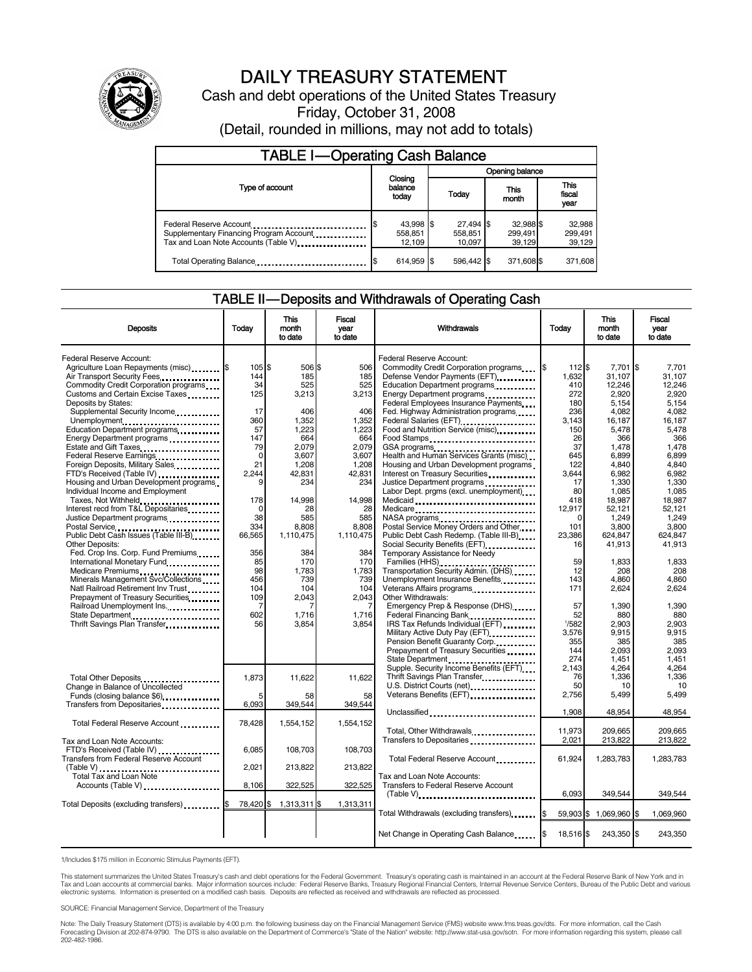

# DAILY TREASURY STATEMENT

Cash and debt operations of the United States Treasury Friday, October 31, 2008

(Detail, rounded in millions, may not add to totals)

| <b>TABLE I-Operating Cash Balance</b>                                                                      |                                |                                  |                                |                             |  |  |  |
|------------------------------------------------------------------------------------------------------------|--------------------------------|----------------------------------|--------------------------------|-----------------------------|--|--|--|
|                                                                                                            |                                | Opening balance                  |                                |                             |  |  |  |
| Type of account                                                                                            | Closing<br>balance<br>today    | Today                            | This<br>month                  | This<br>fiscal<br>year      |  |  |  |
| Federal Reserve Account<br>Supplementary Financing Program Account<br>Tax and Loan Note Accounts (Table V) | 43,998 \$<br>558.851<br>12.109 | $27,494$ \$<br>558,851<br>10.097 | 32,988 \$<br>299,491<br>39.129 | 32,988<br>299,491<br>39,129 |  |  |  |
| Total Operating Balance                                                                                    | 614.959 \$                     | 596.442 \$                       | 371.608 \$                     | 371,608                     |  |  |  |

#### TABLE II — Deposits and Withdrawals of Operating Cash

| <b>Deposits</b>                                                                                                                                                                                           | Today                                  | This<br>month<br>to date                   | Fiscal<br>vear<br>to date                  | Withdrawals                                                                                                                                                                                       | Today                                         | This<br>month<br>to date                            | Fiscal<br>vear<br>to date                           |
|-----------------------------------------------------------------------------------------------------------------------------------------------------------------------------------------------------------|----------------------------------------|--------------------------------------------|--------------------------------------------|---------------------------------------------------------------------------------------------------------------------------------------------------------------------------------------------------|-----------------------------------------------|-----------------------------------------------------|-----------------------------------------------------|
| <b>Federal Reserve Account:</b><br>Agriculture Loan Repayments (misc) \$<br>Air Transport Security Fees<br>Commodity Credit Corporation programs<br>Customs and Certain Excise Taxes                      | 105S<br>144<br>34<br>125               | 506 \$<br>185<br>525<br>3,213              | 506<br>185<br>525<br>3,213                 | Federal Reserve Account:<br>Commodity Credit Corporation programs<br>Defense Vendor Payments (EFT)<br>Education Department programs<br>Energy Department programs                                 | l\$<br>112 \$<br>1,632<br>410<br>272          | 7.701<br>31,107<br>12,246<br>2,920                  | l\$<br>7.701<br>31,107<br>12,246<br>2,920           |
| Deposits by States:<br>Supplemental Security Income<br>Unemployment<br>Education Department programs<br>Energy Department programs<br>Estate and Gift Taxes                                               | 17<br>360<br>57<br>147<br>79           | 406<br>1,352<br>1,223<br>664<br>2.079      | 406<br>1,352<br>1,223<br>664<br>2.079      | Federal Employees Insurance Payments<br>Fed. Highway Administration programs<br>Federal Salaries (EFT)<br>Food and Nutrition Service (misc)<br>Food Stamps<br>GSA programs                        | 180<br>236<br>3.143<br>150<br>26<br>37        | 5,154<br>4,082<br>16,187<br>5,478<br>366<br>1,478   | 5.154<br>4,082<br>16,187<br>5,478<br>366<br>1,478   |
| Federal Reserve Earnings<br>Foreign Deposits, Military Sales<br>FTD's Received (Table IV)<br>Housing and Urban Development programs<br>Individual Income and Employment<br>Taxes, Not Withheld            | $\mathbf 0$<br>21<br>2,244<br>9<br>178 | 3.607<br>1.208<br>42,831<br>234<br>14,998  | 3.607<br>1.208<br>42,831<br>234<br>14,998  | Health and Human Services Grants (misc)<br>Housing and Urban Development programs<br>Interest on Treasury Securities<br>Justice Department programs<br><br>Labor Dept. prgms (excl. unemployment) | 645<br>122<br>3,644<br>17<br>80<br>418        | 6.899<br>4.840<br>6,982<br>1,330<br>1,085<br>18,987 | 6.899<br>4.840<br>6,982<br>1,330<br>1,085<br>18,987 |
| Interest recd from T&L Depositaries<br>Justice Department programs<br>Postal Service<br>Public Debt Cash Issues (Table III-B)<br>Other Deposits:                                                          | $\mathbf 0$<br>38<br>334<br>66,565     | 28<br>585<br>8.808<br>1,110,475            | 28<br>585<br>8,808<br>1,110,475            | Medicare<br>Postal Service Money Orders and Other<br>Public Debt Cash Redemp. (Table III-B)                                                                                                       | 12,917<br><sup>0</sup><br>101<br>23.386<br>16 | 52,121<br>1,249<br>3,800<br>624.847<br>41,913       | 52,121<br>1,249<br>3,800<br>624.847<br>41,913       |
| Fed. Crop Ins. Corp. Fund Premiums<br>International Monetary Fund.<br>Medicare Premiums<br>Minerals Management Svc/Collections<br>Natl Railroad Retirement Inv Trust<br>Prepayment of Treasury Securities | 356<br>85<br>98<br>456<br>104<br>109   | 384<br>170<br>1,783<br>739<br>104<br>2,043 | 384<br>170<br>1,783<br>739<br>104<br>2,043 | Temporary Assistance for Needy<br>Families (HHS)<br>Transportation Security Admin. (DHS)<br>Unemployment Insurance Benefits<br>Veterans Affairs programs<br>Other Withdrawals:                    | 59<br>12<br>143<br>171                        | 1.833<br>208<br>4.860<br>2,624                      | 1.833<br>208<br>4.860<br>2,624                      |
| Railroad Unemployment Ins.<br>State Department<br>Thrift Savings Plan Transfer                                                                                                                            | 7<br>602<br>56                         | 7<br>1,716<br>3,854                        | 7<br>1,716<br>3,854                        | Emergency Prep & Response (DHS)<br>Federal Financing Bank<br>IRS Tax Refunds Individual (EFT)<br>Pension Benefit Guaranty Corp.<br>Prepayment of Treasury Securities                              | 57<br>52<br>1/582<br>3,576<br>355<br>144      | 1,390<br>880<br>2,903<br>9,915<br>385<br>2.093      | 1,390<br>880<br>2,903<br>9,915<br>385<br>2.093      |
| Total Other Deposits<br>Change in Balance of Uncollected<br>Funds (closing balance \$6)<br>Transfers from Depositaries                                                                                    | 1,873<br>5<br>6,093                    | 11,622<br>58<br>349,544                    | 11,622<br>58<br>349,544                    | State Department<br>Supple. Security Income Benefits (EFT)<br>Thrift Savings Plan Transfer<br>Veterans Benefits (EFT)                                                                             | 274<br>2.143<br>76<br>50<br>2,756             | 1,451<br>4.264<br>1,336<br>10<br>5,499              | 1.451<br>4.264<br>1,336<br>10<br>5,499              |
| Total Federal Reserve Account                                                                                                                                                                             | 78,428                                 | 1,554,152                                  | 1,554,152                                  | Unclassified<br>Total, Other Withdrawals<br>Transfers to Depositaries                                                                                                                             | 1,908<br>11.973<br>2,021                      | 48,954<br>209.665<br>213,822                        | 48,954<br>209.665<br>213,822                        |
| Tax and Loan Note Accounts:<br>FTD's Received (Table IV)<br>Transfers from Federal Reserve Account                                                                                                        | 6,085<br>2,021                         | 108,703<br>213,822                         | 108,703<br>213,822                         | Total Federal Reserve Account                                                                                                                                                                     | 61,924                                        | 1,283,783                                           | 1,283,783                                           |
| Total Tax and Loan Note<br>Accounts (Table V)<br>Total Deposits (excluding transfers) [1011 1121 13                                                                                                       | 8.106<br>78,420 \$                     | 322.525<br>1,313,311 \$                    | 322.525<br>1,313,311                       | Tax and Loan Note Accounts:<br><b>Transfers to Federal Reserve Account</b><br>$(Table V)$ ,                                                                                                       | 6,093                                         | 349,544                                             | 349,544                                             |
|                                                                                                                                                                                                           |                                        |                                            |                                            | Total Withdrawals (excluding transfers) [\$<br>Net Change in Operating Cash Balance                                                                                                               | 1\$<br>18,516 \$                              | 59,903 \$ 1,069,960 \$<br>243,350 \$                | 1,069,960<br>243,350                                |

1/Includes \$175 million in Economic Stimulus Payments (EFT).

This statement summarizes the United States Treasury's cash and debt operations for the Federal Government. Treasury's operating cash is maintained in an account at the Federal Reserve Bank of New York and in<br>Tax and Loan

SOURCE: Financial Management Service, Department of the Treasury

Note: The Daily Treasury Statement (DTS) is available by 4:00 p.m. the following business day on the Financial Management Service (FMS) website www.fms.treas.gov/dts. For more information, call the Cash<br>Forecasting Divisio eas.gov/dts. F<br>For more infor